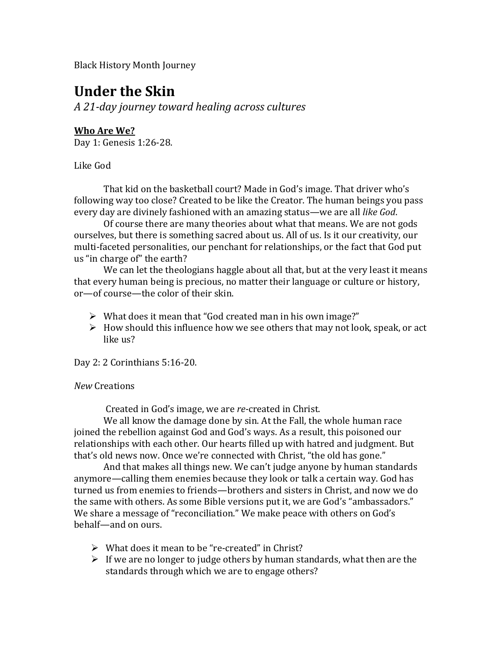Black History Month Journey

# **Under the Skin**

*A 21-day journey toward healing across cultures*

# **Who Are We?**

Day 1: Genesis 1:26-28.

Like God

That kid on the basketball court? Made in God's image. That driver who's following way too close? Created to be like the Creator. The human beings you pass every day are divinely fashioned with an amazing status—we are all *like God*.

Of course there are many theories about what that means. We are not gods ourselves, but there is something sacred about us. All of us. Is it our creativity, our multi-faceted personalities, our penchant for relationships, or the fact that God put us "in charge of" the earth?

We can let the theologians haggle about all that, but at the very least it means that every human being is precious, no matter their language or culture or history, or—of course—the color of their skin.

- $\triangleright$  What does it mean that "God created man in his own image?"
- $\triangleright$  How should this influence how we see others that may not look, speak, or act like us?

Day 2: 2 Corinthians 5:16-20.

#### *New* Creations

Created in God's image, we are *re-*created in Christ.

We all know the damage done by sin. At the Fall, the whole human race joined the rebellion against God and God's ways. As a result, this poisoned our relationships with each other. Our hearts filled up with hatred and judgment. But that's old news now. Once we're connected with Christ, "the old has gone."

And that makes all things new. We can't judge anyone by human standards anymore—calling them enemies because they look or talk a certain way. God has turned us from enemies to friends—brothers and sisters in Christ, and now we do the same with others. As some Bible versions put it, we are God's "ambassadors." We share a message of "reconciliation." We make peace with others on God's behalf—and on ours.

- $\triangleright$  What does it mean to be "re-created" in Christ?
- $\triangleright$  If we are no longer to judge others by human standards, what then are the standards through which we are to engage others?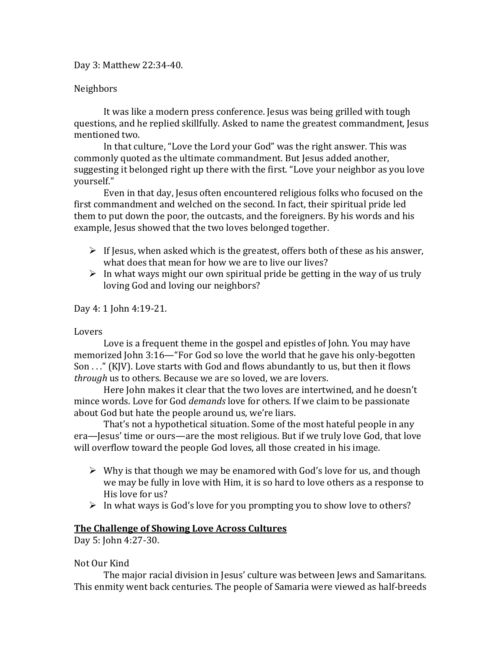Day 3: Matthew 22:34-40.

#### Neighbors

It was like a modern press conference. Jesus was being grilled with tough questions, and he replied skillfully. Asked to name the greatest commandment, Jesus mentioned two.

In that culture, "Love the Lord your God" was the right answer. This was commonly quoted as the ultimate commandment. But Jesus added another, suggesting it belonged right up there with the first. "Love your neighbor as you love yourself."

Even in that day, Jesus often encountered religious folks who focused on the first commandment and welched on the second. In fact, their spiritual pride led them to put down the poor, the outcasts, and the foreigners. By his words and his example. Jesus showed that the two loves belonged together.

- $\triangleright$  If Jesus, when asked which is the greatest, offers both of these as his answer, what does that mean for how we are to live our lives?
- $\triangleright$  In what ways might our own spiritual pride be getting in the way of us truly loving God and loving our neighbors?

Day 4: 1 John 4:19-21.

#### Lovers

Love is a frequent theme in the gospel and epistles of John. You may have memorized John 3:16—"For God so love the world that he gave his only-begotten Son . . ." (KJV). Love starts with God and flows abundantly to us, but then it flows *through* us to others. Because we are so loved, we are lovers.

Here John makes it clear that the two loves are intertwined, and he doesn't mince words. Love for God *demands* love for others. If we claim to be passionate about God but hate the people around us, we're liars.

That's not a hypothetical situation. Some of the most hateful people in any era—Jesus' time or ours—are the most religious. But if we truly love God, that love will overflow toward the people God loves, all those created in his image.

- $\triangleright$  Why is that though we may be enamored with God's love for us, and though we may be fully in love with Him, it is so hard to love others as a response to His love for us?
- $\triangleright$  In what ways is God's love for you prompting you to show love to others?

#### **The Challenge of Showing Love Across Cultures**

Day 5: John 4:27-30.

#### Not Our Kind

The major racial division in Jesus' culture was between Jews and Samaritans. This enmity went back centuries. The people of Samaria were viewed as half-breeds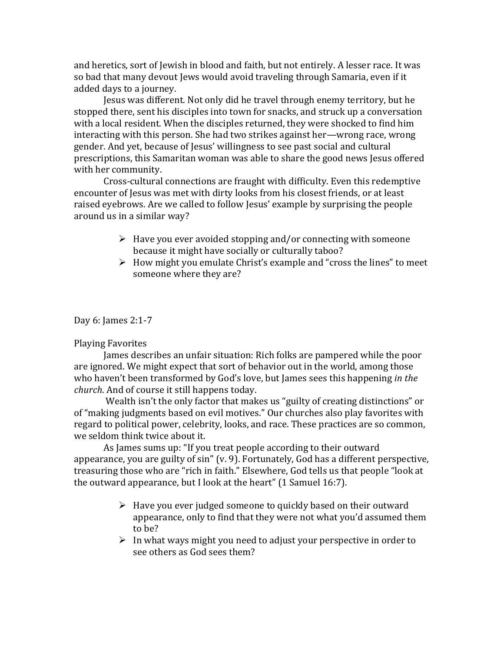and heretics, sort of Jewish in blood and faith, but not entirely. A lesser race. It was so bad that many devout Jews would avoid traveling through Samaria, even if it added days to a journey.

Jesus was different. Not only did he travel through enemy territory, but he stopped there, sent his disciples into town for snacks, and struck up a conversation with a local resident. When the disciples returned, they were shocked to find him interacting with this person. She had two strikes against her—wrong race, wrong gender. And yet, because of Jesus' willingness to see past social and cultural prescriptions, this Samaritan woman was able to share the good news Jesus offered with her community.

Cross-cultural connections are fraught with difficulty. Even this redemptive encounter of Jesus was met with dirty looks from his closest friends, or at least raised eyebrows. Are we called to follow Jesus' example by surprising the people around us in a similar way?

- $\triangleright$  Have you ever avoided stopping and/or connecting with someone because it might have socially or culturally taboo?
- $\triangleright$  How might you emulate Christ's example and "cross the lines" to meet someone where they are?

Day 6: James 2:1-7

#### Playing Favorites

James describes an unfair situation: Rich folks are pampered while the poor are ignored. We might expect that sort of behavior out in the world, among those who haven't been transformed by God's love, but James sees this happening *in the church*. And of course it still happens today.

Wealth isn't the only factor that makes us "guilty of creating distinctions" or of "making judgments based on evil motives." Our churches also play favorites with regard to political power, celebrity, looks, and race. These practices are so common, we seldom think twice about it.

As James sums up: "If you treat people according to their outward appearance, you are guilty of sin" (v. 9). Fortunately, God has a different perspective, treasuring those who are "rich in faith." Elsewhere, God tells us that people "look at the outward appearance, but I look at the heart" (1 Samuel 16:7).

- $\triangleright$  Have you ever judged someone to quickly based on their outward appearance, only to find that they were not what you'd assumed them to be?
- $\triangleright$  In what ways might you need to adjust your perspective in order to see others as God sees them?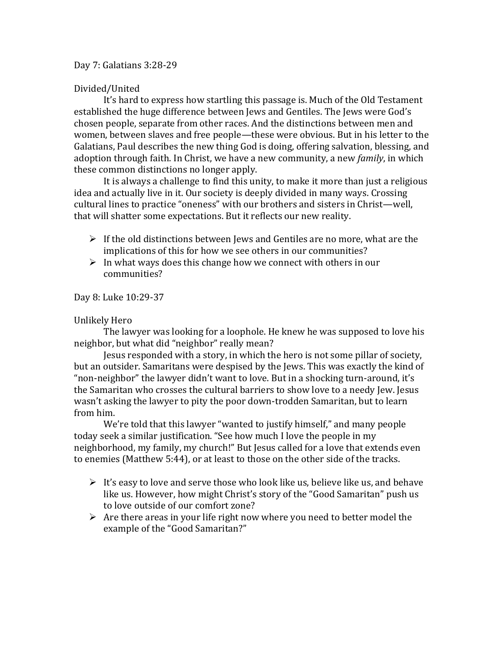#### Day 7: Galatians 3:28-29

#### Divided/United

It's hard to express how startling this passage is. Much of the Old Testament established the huge difference between Jews and Gentiles. The Jews were God's chosen people, separate from other races. And the distinctions between men and women, between slaves and free people—these were obvious. But in his letter to the Galatians, Paul describes the new thing God is doing, offering salvation, blessing, and adoption through faith. In Christ, we have a new community, a new *family*, in which these common distinctions no longer apply.

It is always a challenge to find this unity, to make it more than just a religious idea and actually live in it. Our society is deeply divided in many ways. Crossing cultural lines to practice "oneness" with our brothers and sisters in Christ—well, that will shatter some expectations. But it reflects our new reality.

- $\triangleright$  If the old distinctions between Jews and Gentiles are no more, what are the implications of this for how we see others in our communities?
- $\triangleright$  In what ways does this change how we connect with others in our communities?

Day 8: Luke 10:29-37

#### Unlikely Hero

The lawyer was looking for a loophole. He knew he was supposed to love his neighbor, but what did "neighbor" really mean?

Jesus responded with a story, in which the hero is not some pillar of society, but an outsider. Samaritans were despised by the Jews. This was exactly the kind of "non-neighbor" the lawyer didn't want to love. But in a shocking turn-around, it's the Samaritan who crosses the cultural barriers to show love to a needy Jew. Jesus wasn't asking the lawyer to pity the poor down-trodden Samaritan, but to learn from him.

We're told that this lawyer "wanted to justify himself," and many people today seek a similar justification. "See how much I love the people in my neighborhood, my family, my church!" But Jesus called for a love that extends even to enemies (Matthew 5:44), or at least to those on the other side of the tracks.

- $\triangleright$  It's easy to love and serve those who look like us, believe like us, and behave like us. However, how might Christ's story of the "Good Samaritan" push us to love outside of our comfort zone?
- $\triangleright$  Are there areas in your life right now where you need to better model the example of the "Good Samaritan?"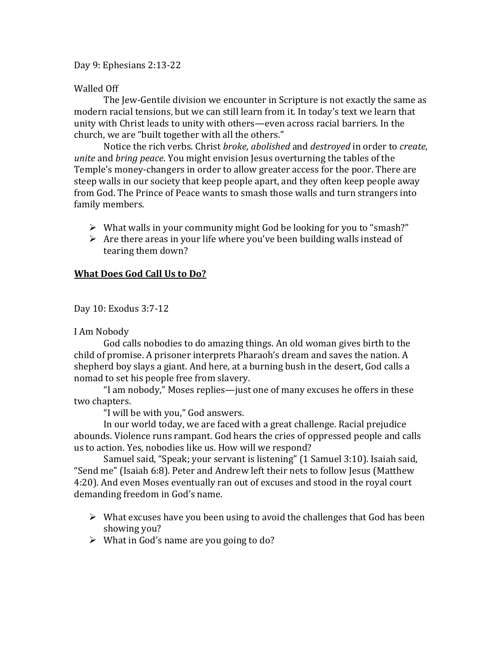#### Day 9: Ephesians 2:13-22

## Walled Off

The Jew-Gentile division we encounter in Scripture is not exactly the same as modern racial tensions, but we can still learn from it. In today's text we learn that unity with Christ leads to unity with others—even across racial barriers. In the church, we are "built together with all the others."

Notice the rich verbs. Christ *broke*, *abolished* and *destroyed* in order to *create*, *unite* and *bring peace*. You might envision Jesus overturning the tables of the Temple's money-changers in order to allow greater access for the poor. There are steep walls in our society that keep people apart, and they often keep people away from God. The Prince of Peace wants to smash those walls and turn strangers into family members.

- $\triangleright$  What walls in your community might God be looking for you to "smash?"
- $\triangleright$  Are there areas in your life where you've been building walls instead of tearing them down?

# **What Does God Call Us to Do?**

Day 10: Exodus 3:7-12

I Am Nobody

God calls nobodies to do amazing things. An old woman gives birth to the child of promise. A prisoner interprets Pharaoh's dream and saves the nation. A shepherd boy slays a giant. And here, at a burning bush in the desert, God calls a nomad to set his people free from slavery.

"I am nobody," Moses replies—just one of many excuses he offers in these two chapters.

"I will be with you," God answers.

In our world today, we are faced with a great challenge. Racial prejudice abounds. Violence runs rampant. God hears the cries of oppressed people and calls us to action. Yes, nobodies like us. How will we respond?

Samuel said, "Speak; your servant is listening" (1 Samuel 3:10). Isaiah said, "Send me" (Isaiah 6:8). Peter and Andrew left their nets to follow Jesus (Matthew 4:20). And even Moses eventually ran out of excuses and stood in the royal court demanding freedom in God's name.

- $\triangleright$  What excuses have you been using to avoid the challenges that God has been showing you?
- $\triangleright$  What in God's name are you going to do?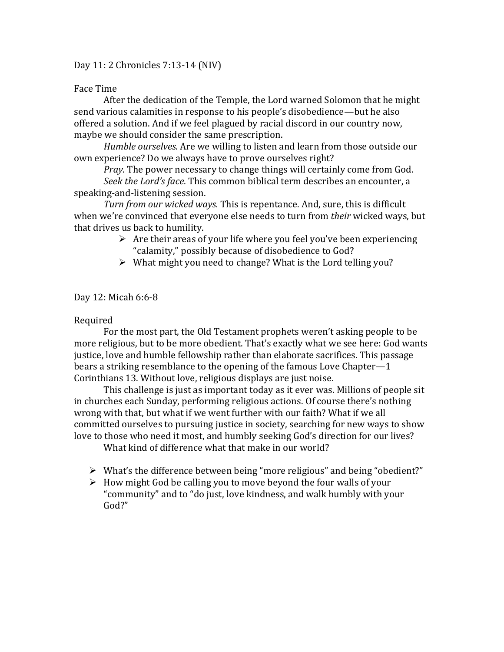#### Day 11: 2 Chronicles 7:13-14 (NIV)

#### Face Time

After the dedication of the Temple, the Lord warned Solomon that he might send various calamities in response to his people's disobedience—but he also offered a solution. And if we feel plagued by racial discord in our country now, maybe we should consider the same prescription.

*Humble ourselves.* Are we willing to listen and learn from those outside our own experience? Do we always have to prove ourselves right?

*Pray.* The power necessary to change things will certainly come from God.

*Seek the Lord's face*. This common biblical term describes an encounter, a speaking-and-listening session.

*Turn from our wicked ways.* This is repentance. And, sure, this is difficult when we're convinced that everyone else needs to turn from *their* wicked ways, but that drives us back to humility.

- $\triangleright$  Are their areas of your life where you feel you've been experiencing "calamity," possibly because of disobedience to God?
- $\triangleright$  What might you need to change? What is the Lord telling you?

Day 12: Micah 6:6-8

#### Required

For the most part, the Old Testament prophets weren't asking people to be more religious, but to be more obedient. That's exactly what we see here: God wants justice, love and humble fellowship rather than elaborate sacrifices. This passage bears a striking resemblance to the opening of the famous Love Chapter—1 Corinthians 13. Without love, religious displays are just noise.

This challenge is just as important today as it ever was. Millions of people sit in churches each Sunday, performing religious actions. Of course there's nothing wrong with that, but what if we went further with our faith? What if we all committed ourselves to pursuing justice in society, searching for new ways to show love to those who need it most, and humbly seeking God's direction for our lives?

What kind of difference what that make in our world?

- What's the difference between being "more religious" and being "obedient?"
- $\triangleright$  How might God be calling you to move beyond the four walls of your "community" and to "do just, love kindness, and walk humbly with your God?"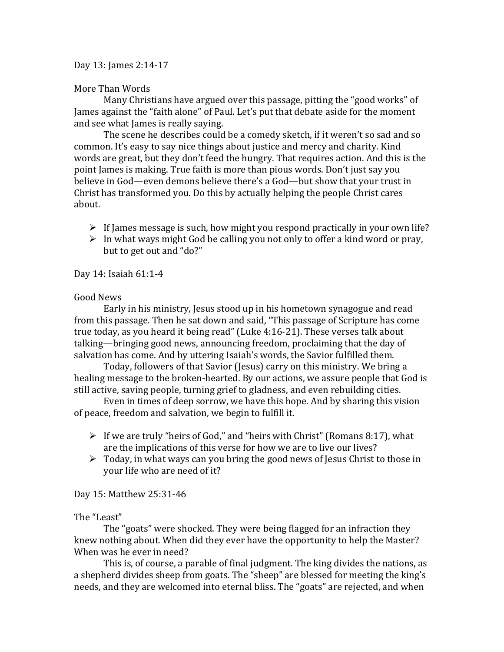#### Day 13: James 2:14-17

## More Than Words

Many Christians have argued over this passage, pitting the "good works" of James against the "faith alone" of Paul. Let's put that debate aside for the moment and see what James is really saying.

The scene he describes could be a comedy sketch, if it weren't so sad and so common. It's easy to say nice things about justice and mercy and charity. Kind words are great, but they don't feed the hungry. That requires action. And this is the point James is making. True faith is more than pious words. Don't just say you believe in God—even demons believe there's a God—but show that your trust in Christ has transformed you. Do this by actually helping the people Christ cares about.

- $\triangleright$  If James message is such, how might you respond practically in your own life?
- $\triangleright$  In what ways might God be calling you not only to offer a kind word or pray, but to get out and "do?"

## Day 14: Isaiah 61:1-4

## Good News

Early in his ministry, Jesus stood up in his hometown synagogue and read from this passage. Then he sat down and said, "This passage of Scripture has come true today, as you heard it being read" (Luke 4:16-21). These verses talk about talking—bringing good news, announcing freedom, proclaiming that the day of salvation has come. And by uttering Isaiah's words, the Savior fulfilled them.

Today, followers of that Savior (Jesus) carry on this ministry. We bring a healing message to the broken-hearted. By our actions, we assure people that God is still active, saving people, turning grief to gladness, and even rebuilding cities.

Even in times of deep sorrow, we have this hope. And by sharing this vision of peace, freedom and salvation, we begin to fulfill it.

- $\triangleright$  If we are truly "heirs of God," and "heirs with Christ" (Romans 8:17), what are the implications of this verse for how we are to live our lives?
- $\triangleright$  Today, in what ways can you bring the good news of Jesus Christ to those in your life who are need of it?

Day 15: Matthew 25:31-46

# The "Least"

The "goats" were shocked. They were being flagged for an infraction they knew nothing about. When did they ever have the opportunity to help the Master? When was he ever in need?

This is, of course, a parable of final judgment. The king divides the nations, as a shepherd divides sheep from goats. The "sheep" are blessed for meeting the king's needs, and they are welcomed into eternal bliss. The "goats" are rejected, and when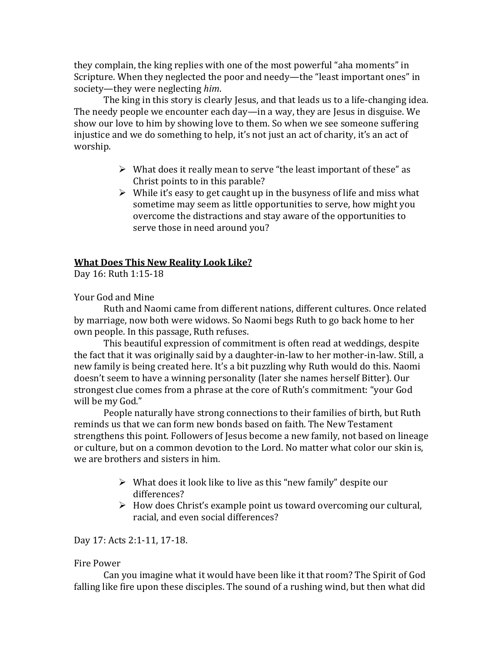they complain, the king replies with one of the most powerful "aha moments" in Scripture. When they neglected the poor and needy—the "least important ones" in society—they were neglecting *him*.

The king in this story is clearly Jesus, and that leads us to a life-changing idea. The needy people we encounter each day—in a way, they are Jesus in disguise. We show our love to him by showing love to them. So when we see someone suffering injustice and we do something to help, it's not just an act of charity, it's an act of worship.

- $\triangleright$  What does it really mean to serve "the least important of these" as Christ points to in this parable?
- $\triangleright$  While it's easy to get caught up in the busyness of life and miss what sometime may seem as little opportunities to serve, how might you overcome the distractions and stay aware of the opportunities to serve those in need around you?

# **What Does This New Reality Look Like?**

Day 16: Ruth 1:15-18

Your God and Mine

Ruth and Naomi came from different nations, different cultures. Once related by marriage, now both were widows. So Naomi begs Ruth to go back home to her own people. In this passage, Ruth refuses.

This beautiful expression of commitment is often read at weddings, despite the fact that it was originally said by a daughter-in-law to her mother-in-law. Still, a new family is being created here. It's a bit puzzling why Ruth would do this. Naomi doesn't seem to have a winning personality (later she names herself Bitter). Our strongest clue comes from a phrase at the core of Ruth's commitment: "your God will be my God."

People naturally have strong connections to their families of birth, but Ruth reminds us that we can form new bonds based on faith. The New Testament strengthens this point. Followers of Jesus become a new family, not based on lineage or culture, but on a common devotion to the Lord. No matter what color our skin is, we are brothers and sisters in him.

- $\triangleright$  What does it look like to live as this "new family" despite our differences?
- $\triangleright$  How does Christ's example point us toward overcoming our cultural, racial, and even social differences?

Day 17: Acts 2:1-11, 17-18.

#### Fire Power

Can you imagine what it would have been like it that room? The Spirit of God falling like fire upon these disciples. The sound of a rushing wind, but then what did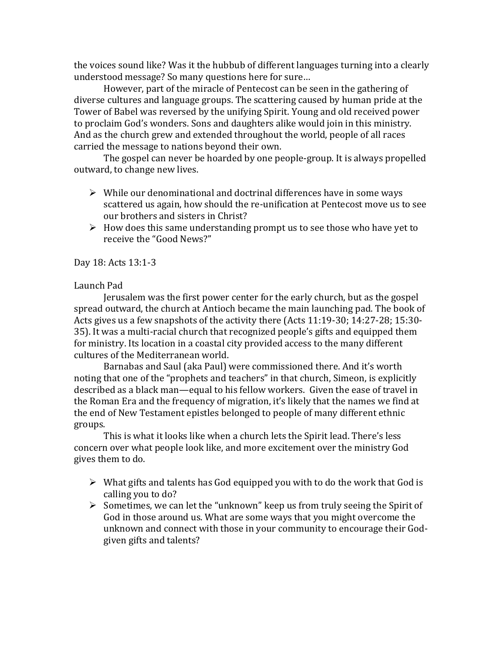the voices sound like? Was it the hubbub of different languages turning into a clearly understood message? So many questions here for sure…

However, part of the miracle of Pentecost can be seen in the gathering of diverse cultures and language groups. The scattering caused by human pride at the Tower of Babel was reversed by the unifying Spirit. Young and old received power to proclaim God's wonders. Sons and daughters alike would join in this ministry. And as the church grew and extended throughout the world, people of all races carried the message to nations beyond their own.

The gospel can never be hoarded by one people-group. It is always propelled outward, to change new lives.

- $\triangleright$  While our denominational and doctrinal differences have in some ways scattered us again, how should the re-unification at Pentecost move us to see our brothers and sisters in Christ?
- $\triangleright$  How does this same understanding prompt us to see those who have yet to receive the "Good News?"

Day 18: Acts 13:1-3

## Launch Pad

Jerusalem was the first power center for the early church, but as the gospel spread outward, the church at Antioch became the main launching pad. The book of Acts gives us a few snapshots of the activity there (Acts 11:19-30; 14:27-28; 15:30- 35). It was a multi-racial church that recognized people's gifts and equipped them for ministry. Its location in a coastal city provided access to the many different cultures of the Mediterranean world.

Barnabas and Saul (aka Paul) were commissioned there. And it's worth noting that one of the "prophets and teachers" in that church, Simeon, is explicitly described as a black man—equal to his fellow workers. Given the ease of travel in the Roman Era and the frequency of migration, it's likely that the names we find at the end of New Testament epistles belonged to people of many different ethnic groups.

This is what it looks like when a church lets the Spirit lead. There's less concern over what people look like, and more excitement over the ministry God gives them to do.

- $\triangleright$  What gifts and talents has God equipped you with to do the work that God is calling you to do?
- $\triangleright$  Sometimes, we can let the "unknown" keep us from truly seeing the Spirit of God in those around us. What are some ways that you might overcome the unknown and connect with those in your community to encourage their Godgiven gifts and talents?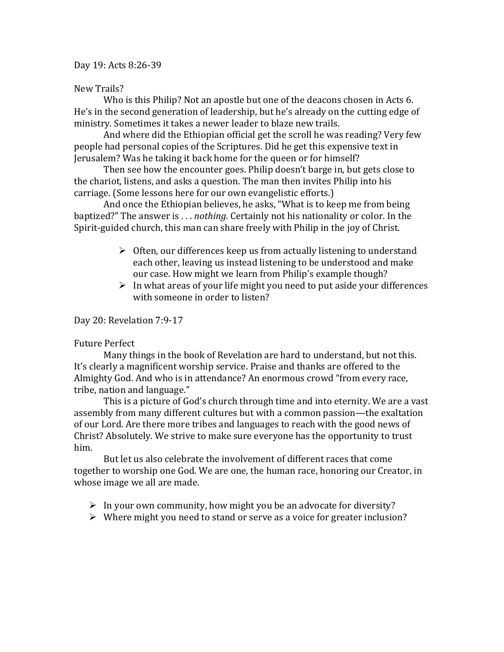#### Day 19: Acts 8:26-39

#### New Trails?

Who is this Philip? Not an apostle but one of the deacons chosen in Acts 6. He's in the second generation of leadership, but he's already on the cutting edge of ministry. Sometimes it takes a newer leader to blaze new trails.

And where did the Ethiopian official get the scroll he was reading? Very few people had personal copies of the Scriptures. Did he get this expensive text in Jerusalem? Was he taking it back home for the queen or for himself?

Then see how the encounter goes. Philip doesn't barge in, but gets close to the chariot, listens, and asks a question. The man then invites Philip into his carriage. (Some lessons here for our own evangelistic efforts.)

And once the Ethiopian believes, he asks, "What is to keep me from being baptized?" The answer is . . . *nothing*. Certainly not his nationality or color. In the Spirit-guided church, this man can share freely with Philip in the joy of Christ.

- $\triangleright$  Often, our differences keep us from actually listening to understand each other, leaving us instead listening to be understood and make our case. How might we learn from Philip's example though?
- $\triangleright$  In what areas of your life might you need to put aside your differences with someone in order to listen?

#### Day 20: Revelation 7:9-17

#### Future Perfect

Many things in the book of Revelation are hard to understand, but not this. It's clearly a magnificent worship service. Praise and thanks are offered to the Almighty God. And who is in attendance? An enormous crowd "from every race, tribe, nation and language."

This is a picture of God's church through time and into eternity. We are a vast assembly from many different cultures but with a common passion—the exaltation of our Lord. Are there more tribes and languages to reach with the good news of Christ? Absolutely. We strive to make sure everyone has the opportunity to trust him.

But let us also celebrate the involvement of different races that come together to worship one God. We are one, the human race, honoring our Creator, in whose image we all are made.

- $\triangleright$  In your own community, how might you be an advocate for diversity?
- $\triangleright$  Where might you need to stand or serve as a voice for greater inclusion?